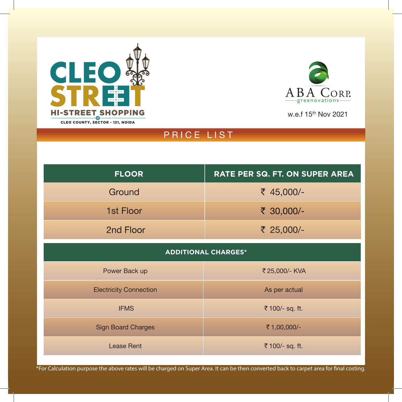



w.e.f 15th Nov 2021

# PRICE LIST

| <b>FLOOR</b>                  | RATE PER SQ. FT. ON SUPER AREA |
|-------------------------------|--------------------------------|
| Ground                        | ₹ 45,000/-                     |
| 1st Floor                     | ₹ 30,000/-                     |
| 2nd Floor                     | ₹ 25,000/-                     |
| <b>ADDITIONAL CHARGES*</b>    |                                |
| Power Back up                 | ₹25,000/- KVA                  |
| <b>Electricity Connection</b> | As per actual                  |
| <b>IFMS</b>                   | ₹ 100/- sq. ft.                |
| <b>Sign Board Charges</b>     | ₹1,00,000/-                    |
| <b>Lease Rent</b>             | ₹ 100/- sq. ft.                |

\*For Calculation purpose the above rates will be charged on Super Area. It can be then converted back to carpet area for final costing.